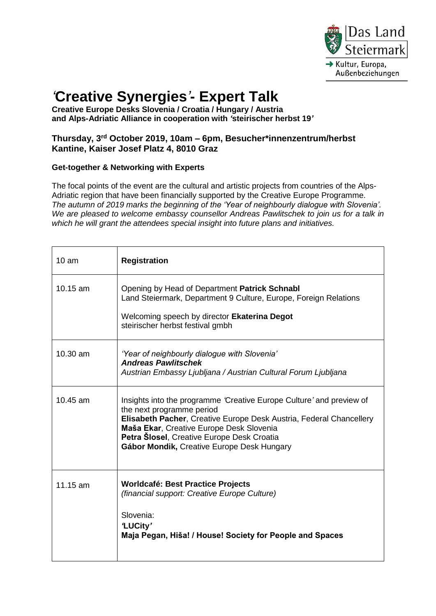

## *'***Creative Synergies***'***- Expert Talk**

**Creative Europe Desks Slovenia / Croatia / Hungary / Austria and Alps-Adriatic Alliance in cooperation with** *'***steirischer herbst 19***'*

## **Thursday, 3 rd October 2019, 10am – 6pm, Besucher\*innenzentrum/herbst Kantine, Kaiser Josef Platz 4, 8010 Graz**

## **Get-together & Networking with Experts**

The focal points of the event are the cultural and artistic projects from countries of the Alps-Adriatic region that have been financially supported by the Creative Europe Programme. *The autumn of 2019 marks the beginning of the 'Year of neighbourly dialogue with Slovenia'. We are pleased to welcome embassy counsellor Andreas Pawlitschek to join us for a talk in which he will grant the attendees special insight into future plans and initiatives.*

| 10 am    | <b>Registration</b>                                                                                                                                                                                                                                                                                              |
|----------|------------------------------------------------------------------------------------------------------------------------------------------------------------------------------------------------------------------------------------------------------------------------------------------------------------------|
| 10.15 am | Opening by Head of Department Patrick Schnabl<br>Land Steiermark, Department 9 Culture, Europe, Foreign Relations<br>Welcoming speech by director Ekaterina Degot<br>steirischer herbst festival gmbh                                                                                                            |
| 10.30 am | 'Year of neighbourly dialogue with Slovenia'<br><b>Andreas Pawlitschek</b><br>Austrian Embassy Ljubljana / Austrian Cultural Forum Ljubljana                                                                                                                                                                     |
| 10.45 am | Insights into the programme 'Creative Europe Culture' and preview of<br>the next programme period<br>Elisabeth Pacher, Creative Europe Desk Austria, Federal Chancellery<br>Maša Ekar, Creative Europe Desk Slovenia<br>Petra Slosel, Creative Europe Desk Croatia<br>Gábor Mondik, Creative Europe Desk Hungary |
| 11.15 am | <b>Worldcafé: Best Practice Projects</b><br><i>(financial support: Creative Europe Culture)</i><br>Slovenia:<br>'LUCity'<br>Maja Pegan, Hiša! / House! Society for People and Spaces                                                                                                                             |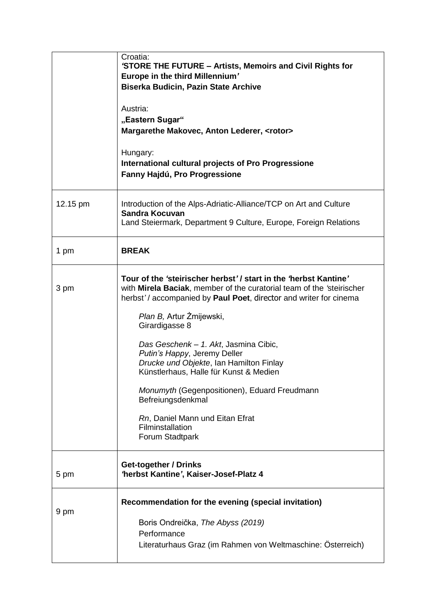|          | Croatia:<br>'STORE THE FUTURE - Artists, Memoirs and Civil Rights for<br>Europe in the third Millennium'<br><b>Biserka Budicin, Pazin State Archive</b><br>Austria:<br>"Eastern Sugar"<br>Margarethe Makovec, Anton Lederer, <rotor><br/>Hungary:<br/>International cultural projects of Pro Progressione<br/>Fanny Hajdú, Pro Progressione</rotor>                                                                                                                                                                                                                      |
|----------|--------------------------------------------------------------------------------------------------------------------------------------------------------------------------------------------------------------------------------------------------------------------------------------------------------------------------------------------------------------------------------------------------------------------------------------------------------------------------------------------------------------------------------------------------------------------------|
| 12.15 pm | Introduction of the Alps-Adriatic-Alliance/TCP on Art and Culture<br><b>Sandra Kocuvan</b><br>Land Steiermark, Department 9 Culture, Europe, Foreign Relations                                                                                                                                                                                                                                                                                                                                                                                                           |
| 1 pm     | <b>BREAK</b>                                                                                                                                                                                                                                                                                                                                                                                                                                                                                                                                                             |
| 3 pm     | Tour of the 'steirischer herbst' / start in the 'herbst Kantine'<br>with Mirela Baciak, member of the curatorial team of the 'steirischer<br>herbst'/accompanied by Paul Poet, director and writer for cinema<br>Plan B, Artur Żmijewski,<br>Girardigasse 8<br>Das Geschenk - 1. Akt, Jasmina Cibic,<br>Putin's Happy, Jeremy Deller<br>Drucke und Objekte, Ian Hamilton Finlay<br>Künstlerhaus, Halle für Kunst & Medien<br>Monumyth (Gegenpositionen), Eduard Freudmann<br>Befreiungsdenkmal<br>Rn, Daniel Mann und Eitan Efrat<br>Filminstallation<br>Forum Stadtpark |
| 5 pm     | Get-together / Drinks<br>'herbst Kantine', Kaiser-Josef-Platz 4                                                                                                                                                                                                                                                                                                                                                                                                                                                                                                          |
| 9 pm     | Recommendation for the evening (special invitation)<br>Boris Ondreička, The Abyss (2019)<br>Performance<br>Literaturhaus Graz (im Rahmen von Weltmaschine: Österreich)                                                                                                                                                                                                                                                                                                                                                                                                   |